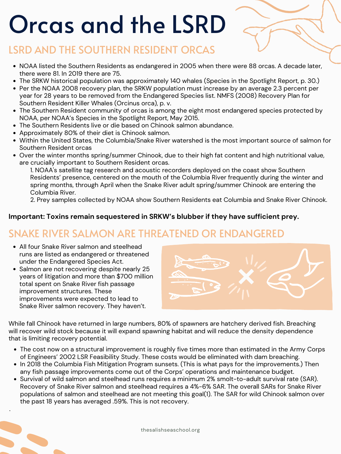# Orcas and the LSRD

thesalishseaschool.org

### LSRD AND THE SOUTHERN RESIDENT ORCAS

- NOAA listed the Southern Residents as endangered in 2005 when there were 88 orcas. A decade later, there were 81. In 2019 there are 75.
- The SRKW historical population was approximately 140 whales (Species in the Spotlight Report, p. 30.)
- Per the NOAA 2008 recovery plan, the SRKW population must increase by an average 2.3 percent per year for 28 years to be removed from the Endangered Species list. NMFS (2008) Recovery Plan for Southern Resident Killer Whales (Orcinus orca), p. v.
- The Southern Resident community of orcas is among the eight most endangered species protected by NOAA, per NOAA's Species in the Spotlight Report, May 2015.
- The Southern Residents live or die based on Chinook salmon abundance.
- Approximately 80% of their diet is Chinook salmon.
- Within the United States, the Columbia/Snake River watershed is the most important source of salmon for Southern Resident orcas
- Over the winter months spring/summer Chinook, due to their high fat content and high nutritional value, are crucially important to Southern Resident orcas.

1. NOAA' s satellite tag research and acoustic recorders deployed on the coast show Southern Residents' presence, centered on the mouth of the Columbia River frequently during the winter and spring months, through April when the Snake River adult spring/summer Chinook are entering the Columbia River.

2. Prey samples collected by NOAA show Southern Residents eat Columbia and Snake River Chinook.

#### **Important: Toxins remain sequestered in SRKW's blubber if they have sufficient prey.**

#### SNAKE RIVER SALMON ARE THREATENED OR ENDANGERED

- All four Snake River salmon and steelhead runs are listed as endangered or threatened under the Endangered Species Act.
- Salmon are not recovering despite nearly 25 years of litigation and more than \$700 million total spent on Snake River fish passage improvement structures. These improvements were expected to lead to Snake River salmon recovery. They haven't.

While fall Chinook have returned in large numbers, 80% of spawners are hatchery derived fish. Breaching will recover wild stock because it will expand spawning habitat and will reduce the density dependence that is limiting recovery potential.

- The cost now on a structural improvement is roughly five times more than estimated in the Army Corps of Engineers' 2002 LSR Feasibility Study. These costs would be eliminated with dam breaching.
- In 2018 the Columbia Fish Mitigation Program sunsets. (This is what pays for the improvements.) Then any fish passage improvements come out of the Corps' operations and maintenance budget.
- Survival of wild salmon and steelhead runs requires a minimum 2% smolt-to-adult survival rate (SAR). Recovery of Snake River salmon and steelhead requires a 4%-6% SAR. The overall SARs for Snake River populations of salmon and steelhead are not meeting this goal(1). The SAR for wild Chinook salmon over the past 18 years has averaged .59%. This is not recovery.

.